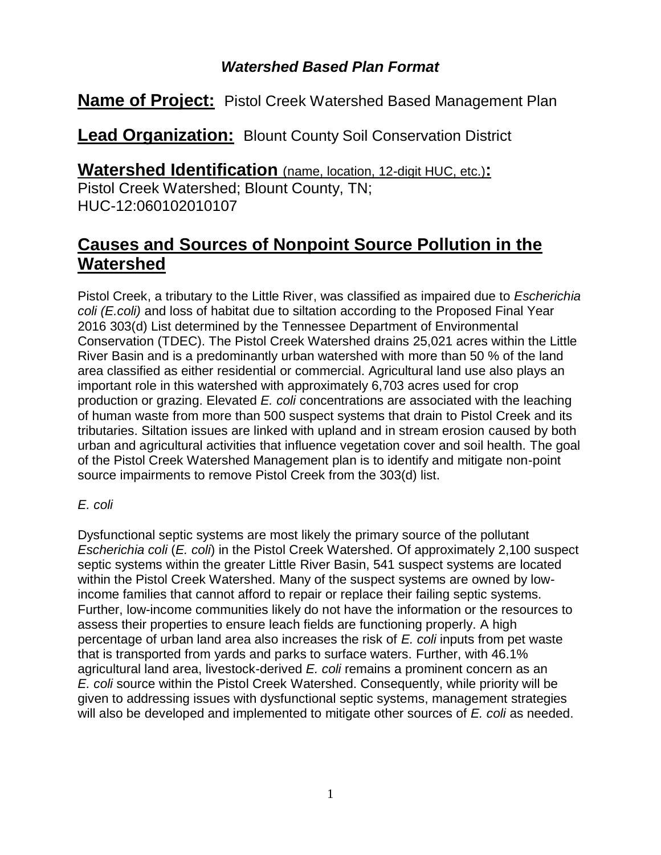## *Watershed Based Plan Format*

**Name of Project:** Pistol Creek Watershed Based Management Plan

**Lead Organization:** Blount County Soil Conservation District

**Watershed Identification** (name, location, 12-digit HUC, etc.)**:**

Pistol Creek Watershed; Blount County, TN; HUC-12:060102010107

## **Causes and Sources of Nonpoint Source Pollution in the Watershed**

Pistol Creek, a tributary to the Little River, was classified as impaired due to *Escherichia coli (E.coli)* and loss of habitat due to siltation according to the Proposed Final Year 2016 303(d) List determined by the Tennessee Department of Environmental Conservation (TDEC). The Pistol Creek Watershed drains 25,021 acres within the Little River Basin and is a predominantly urban watershed with more than 50 % of the land area classified as either residential or commercial. Agricultural land use also plays an important role in this watershed with approximately 6,703 acres used for crop production or grazing. Elevated *E. coli* concentrations are associated with the leaching of human waste from more than 500 suspect systems that drain to Pistol Creek and its tributaries. Siltation issues are linked with upland and in stream erosion caused by both urban and agricultural activities that influence vegetation cover and soil health. The goal of the Pistol Creek Watershed Management plan is to identify and mitigate non-point source impairments to remove Pistol Creek from the 303(d) list.

## *E. coli*

Dysfunctional septic systems are most likely the primary source of the pollutant *Escherichia coli* (*E. coli*) in the Pistol Creek Watershed. Of approximately 2,100 suspect septic systems within the greater Little River Basin, 541 suspect systems are located within the Pistol Creek Watershed. Many of the suspect systems are owned by lowincome families that cannot afford to repair or replace their failing septic systems. Further, low-income communities likely do not have the information or the resources to assess their properties to ensure leach fields are functioning properly. A high percentage of urban land area also increases the risk of *E. coli* inputs from pet waste that is transported from yards and parks to surface waters. Further, with 46.1% agricultural land area, livestock-derived *E. coli* remains a prominent concern as an *E. coli* source within the Pistol Creek Watershed. Consequently, while priority will be given to addressing issues with dysfunctional septic systems, management strategies will also be developed and implemented to mitigate other sources of *E. coli* as needed.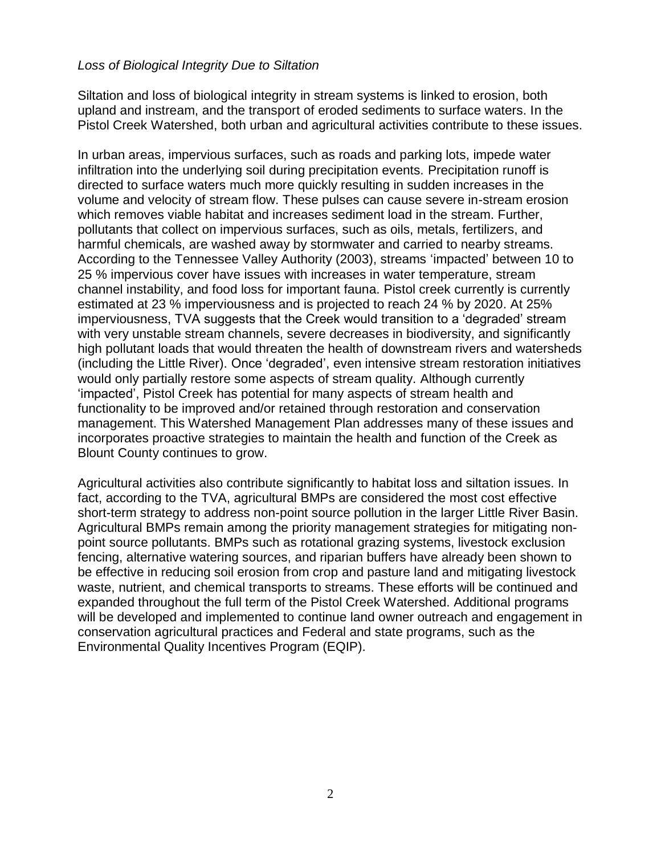### *Loss of Biological Integrity Due to Siltation*

Siltation and loss of biological integrity in stream systems is linked to erosion, both upland and instream, and the transport of eroded sediments to surface waters. In the Pistol Creek Watershed, both urban and agricultural activities contribute to these issues.

In urban areas, impervious surfaces, such as roads and parking lots, impede water infiltration into the underlying soil during precipitation events. Precipitation runoff is directed to surface waters much more quickly resulting in sudden increases in the volume and velocity of stream flow. These pulses can cause severe in-stream erosion which removes viable habitat and increases sediment load in the stream. Further, pollutants that collect on impervious surfaces, such as oils, metals, fertilizers, and harmful chemicals, are washed away by stormwater and carried to nearby streams. According to the Tennessee Valley Authority (2003), streams 'impacted' between 10 to 25 % impervious cover have issues with increases in water temperature, stream channel instability, and food loss for important fauna. Pistol creek currently is currently estimated at 23 % imperviousness and is projected to reach 24 % by 2020. At 25% imperviousness, TVA suggests that the Creek would transition to a 'degraded' stream with very unstable stream channels, severe decreases in biodiversity, and significantly high pollutant loads that would threaten the health of downstream rivers and watersheds (including the Little River). Once 'degraded', even intensive stream restoration initiatives would only partially restore some aspects of stream quality. Although currently 'impacted', Pistol Creek has potential for many aspects of stream health and functionality to be improved and/or retained through restoration and conservation management. This Watershed Management Plan addresses many of these issues and incorporates proactive strategies to maintain the health and function of the Creek as Blount County continues to grow.

Agricultural activities also contribute significantly to habitat loss and siltation issues. In fact, according to the TVA, agricultural BMPs are considered the most cost effective short-term strategy to address non-point source pollution in the larger Little River Basin. Agricultural BMPs remain among the priority management strategies for mitigating nonpoint source pollutants. BMPs such as rotational grazing systems, livestock exclusion fencing, alternative watering sources, and riparian buffers have already been shown to be effective in reducing soil erosion from crop and pasture land and mitigating livestock waste, nutrient, and chemical transports to streams. These efforts will be continued and expanded throughout the full term of the Pistol Creek Watershed. Additional programs will be developed and implemented to continue land owner outreach and engagement in conservation agricultural practices and Federal and state programs, such as the Environmental Quality Incentives Program (EQIP).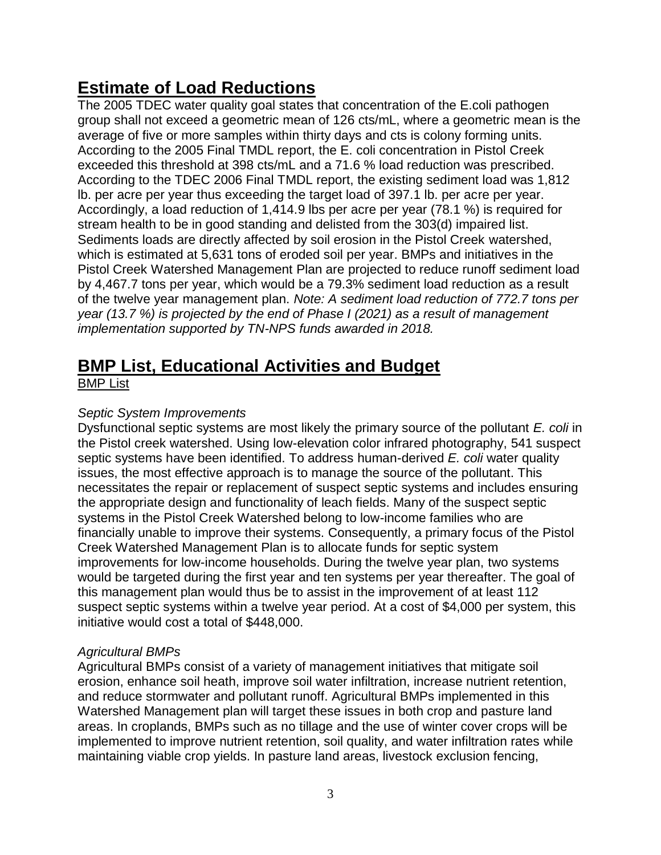# **Estimate of Load Reductions**

The 2005 TDEC water quality goal states that concentration of the E.coli pathogen group shall not exceed a geometric mean of 126 cts/mL, where a geometric mean is the average of five or more samples within thirty days and cts is colony forming units. According to the 2005 Final TMDL report, the E. coli concentration in Pistol Creek exceeded this threshold at 398 cts/mL and a 71.6 % load reduction was prescribed. According to the TDEC 2006 Final TMDL report, the existing sediment load was 1,812 lb. per acre per year thus exceeding the target load of 397.1 lb. per acre per year. Accordingly, a load reduction of 1,414.9 lbs per acre per year (78.1 %) is required for stream health to be in good standing and delisted from the 303(d) impaired list. Sediments loads are directly affected by soil erosion in the Pistol Creek watershed, which is estimated at 5,631 tons of eroded soil per year. BMPs and initiatives in the Pistol Creek Watershed Management Plan are projected to reduce runoff sediment load by 4,467.7 tons per year, which would be a 79.3% sediment load reduction as a result of the twelve year management plan. *Note: A sediment load reduction of 772.7 tons per year (13.7 %) is projected by the end of Phase I (2021) as a result of management implementation supported by TN-NPS funds awarded in 2018.*

# **BMP List, Educational Activities and Budget**

## BMP List

## *Septic System Improvements*

Dysfunctional septic systems are most likely the primary source of the pollutant *E. coli* in the Pistol creek watershed. Using low-elevation color infrared photography, 541 suspect septic systems have been identified. To address human-derived *E. coli* water quality issues, the most effective approach is to manage the source of the pollutant. This necessitates the repair or replacement of suspect septic systems and includes ensuring the appropriate design and functionality of leach fields. Many of the suspect septic systems in the Pistol Creek Watershed belong to low-income families who are financially unable to improve their systems. Consequently, a primary focus of the Pistol Creek Watershed Management Plan is to allocate funds for septic system improvements for low-income households. During the twelve year plan, two systems would be targeted during the first year and ten systems per year thereafter. The goal of this management plan would thus be to assist in the improvement of at least 112 suspect septic systems within a twelve year period. At a cost of \$4,000 per system, this initiative would cost a total of \$448,000.

## *Agricultural BMPs*

Agricultural BMPs consist of a variety of management initiatives that mitigate soil erosion, enhance soil heath, improve soil water infiltration, increase nutrient retention, and reduce stormwater and pollutant runoff. Agricultural BMPs implemented in this Watershed Management plan will target these issues in both crop and pasture land areas. In croplands, BMPs such as no tillage and the use of winter cover crops will be implemented to improve nutrient retention, soil quality, and water infiltration rates while maintaining viable crop yields. In pasture land areas, livestock exclusion fencing,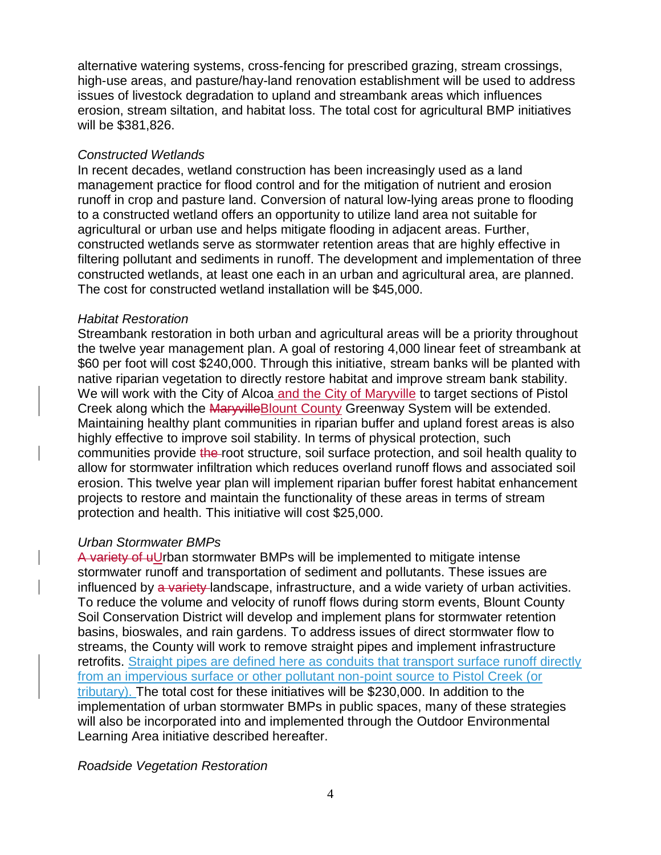alternative watering systems, cross-fencing for prescribed grazing, stream crossings, high-use areas, and pasture/hay-land renovation establishment will be used to address issues of livestock degradation to upland and streambank areas which influences erosion, stream siltation, and habitat loss. The total cost for agricultural BMP initiatives will be \$381,826.

### *Constructed Wetlands*

In recent decades, wetland construction has been increasingly used as a land management practice for flood control and for the mitigation of nutrient and erosion runoff in crop and pasture land. Conversion of natural low-lying areas prone to flooding to a constructed wetland offers an opportunity to utilize land area not suitable for agricultural or urban use and helps mitigate flooding in adjacent areas. Further, constructed wetlands serve as stormwater retention areas that are highly effective in filtering pollutant and sediments in runoff. The development and implementation of three constructed wetlands, at least one each in an urban and agricultural area, are planned. The cost for constructed wetland installation will be \$45,000.

### *Habitat Restoration*

Streambank restoration in both urban and agricultural areas will be a priority throughout the twelve year management plan. A goal of restoring 4,000 linear feet of streambank at \$60 per foot will cost \$240,000. Through this initiative, stream banks will be planted with native riparian vegetation to directly restore habitat and improve stream bank stability. We will work with the City of Alcoa and the City of Maryville to target sections of Pistol Creek along which the Maryville Blount County Greenway System will be extended. Maintaining healthy plant communities in riparian buffer and upland forest areas is also highly effective to improve soil stability. In terms of physical protection, such communities provide the root structure, soil surface protection, and soil health quality to allow for stormwater infiltration which reduces overland runoff flows and associated soil erosion. This twelve year plan will implement riparian buffer forest habitat enhancement projects to restore and maintain the functionality of these areas in terms of stream protection and health. This initiative will cost \$25,000.

## *Urban Stormwater BMPs*

A variety of uUrban stormwater BMPs will be implemented to mitigate intense stormwater runoff and transportation of sediment and pollutants. These issues are influenced by a variety landscape, infrastructure, and a wide variety of urban activities. To reduce the volume and velocity of runoff flows during storm events, Blount County Soil Conservation District will develop and implement plans for stormwater retention basins, bioswales, and rain gardens. To address issues of direct stormwater flow to streams, the County will work to remove straight pipes and implement infrastructure retrofits. Straight pipes are defined here as conduits that transport surface runoff directly from an impervious surface or other pollutant non-point source to Pistol Creek (or tributary). The total cost for these initiatives will be \$230,000. In addition to the implementation of urban stormwater BMPs in public spaces, many of these strategies will also be incorporated into and implemented through the Outdoor Environmental Learning Area initiative described hereafter.

## *Roadside Vegetation Restoration*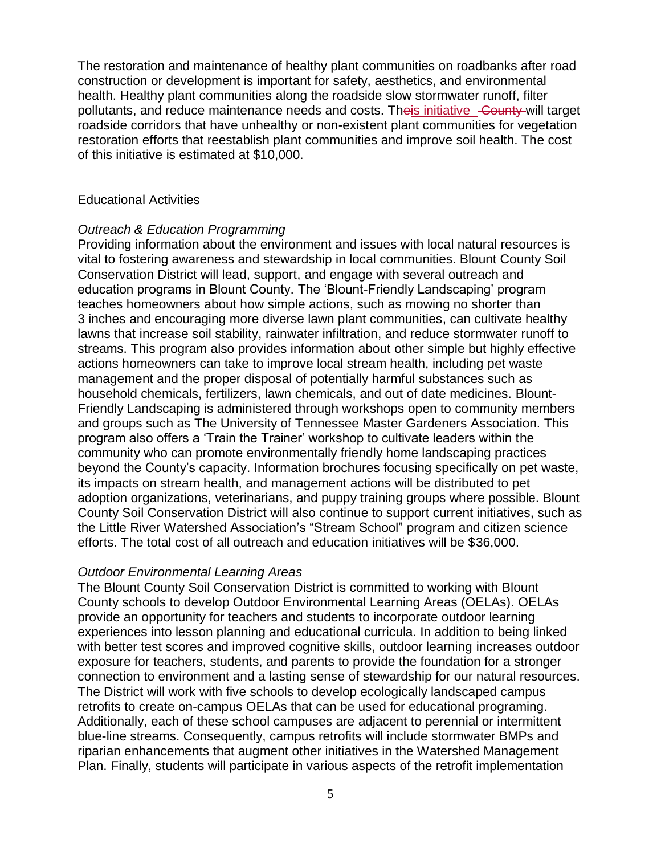The restoration and maintenance of healthy plant communities on roadbanks after road construction or development is important for safety, aesthetics, and environmental health. Healthy plant communities along the roadside slow stormwater runoff, filter pollutants, and reduce maintenance needs and costs. Theis initiative County will target roadside corridors that have unhealthy or non-existent plant communities for vegetation restoration efforts that reestablish plant communities and improve soil health. The cost of this initiative is estimated at \$10,000.

#### Educational Activities

#### *Outreach & Education Programming*

Providing information about the environment and issues with local natural resources is vital to fostering awareness and stewardship in local communities. Blount County Soil Conservation District will lead, support, and engage with several outreach and education programs in Blount County. The 'Blount-Friendly Landscaping' program teaches homeowners about how simple actions, such as mowing no shorter than 3 inches and encouraging more diverse lawn plant communities, can cultivate healthy lawns that increase soil stability, rainwater infiltration, and reduce stormwater runoff to streams. This program also provides information about other simple but highly effective actions homeowners can take to improve local stream health, including pet waste management and the proper disposal of potentially harmful substances such as household chemicals, fertilizers, lawn chemicals, and out of date medicines. Blount-Friendly Landscaping is administered through workshops open to community members and groups such as The University of Tennessee Master Gardeners Association. This program also offers a 'Train the Trainer' workshop to cultivate leaders within the community who can promote environmentally friendly home landscaping practices beyond the County's capacity. Information brochures focusing specifically on pet waste, its impacts on stream health, and management actions will be distributed to pet adoption organizations, veterinarians, and puppy training groups where possible. Blount County Soil Conservation District will also continue to support current initiatives, such as the Little River Watershed Association's "Stream School" program and citizen science efforts. The total cost of all outreach and education initiatives will be \$36,000.

#### *Outdoor Environmental Learning Areas*

The Blount County Soil Conservation District is committed to working with Blount County schools to develop Outdoor Environmental Learning Areas (OELAs). OELAs provide an opportunity for teachers and students to incorporate outdoor learning experiences into lesson planning and educational curricula. In addition to being linked with better test scores and improved cognitive skills, outdoor learning increases outdoor exposure for teachers, students, and parents to provide the foundation for a stronger connection to environment and a lasting sense of stewardship for our natural resources. The District will work with five schools to develop ecologically landscaped campus retrofits to create on-campus OELAs that can be used for educational programing. Additionally, each of these school campuses are adjacent to perennial or intermittent blue-line streams. Consequently, campus retrofits will include stormwater BMPs and riparian enhancements that augment other initiatives in the Watershed Management Plan. Finally, students will participate in various aspects of the retrofit implementation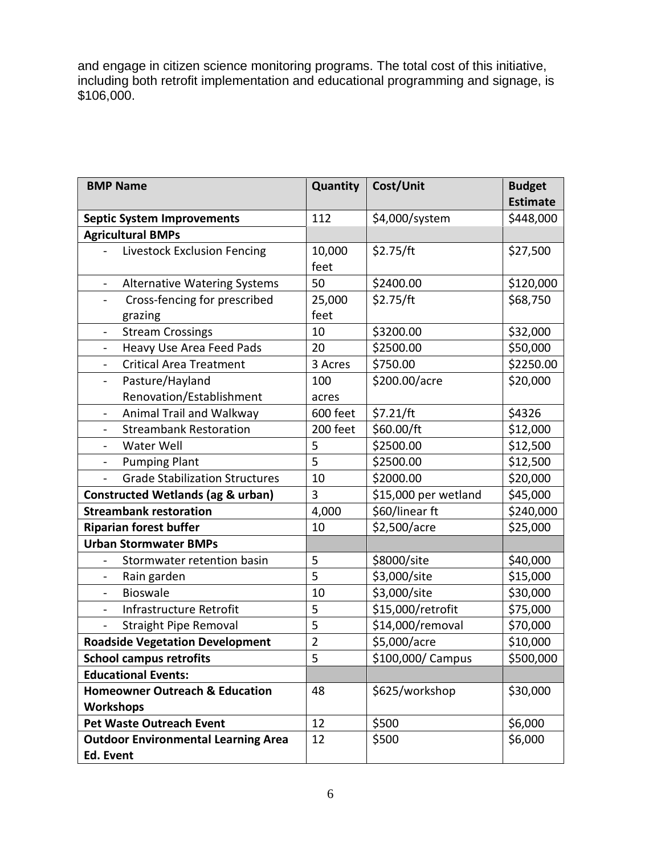and engage in citizen science monitoring programs. The total cost of this initiative, including both retrofit implementation and educational programming and signage, is \$106,000.

| <b>BMP Name</b>                                                 | Quantity       | Cost/Unit            | <b>Budget</b>   |
|-----------------------------------------------------------------|----------------|----------------------|-----------------|
|                                                                 |                |                      | <b>Estimate</b> |
| <b>Septic System Improvements</b>                               | 112            | \$4,000/system       | \$448,000       |
| <b>Agricultural BMPs</b>                                        |                |                      |                 |
| Livestock Exclusion Fencing                                     | 10,000<br>feet | \$2.75/ft            | \$27,500        |
| <b>Alternative Watering Systems</b><br>$\overline{\phantom{0}}$ | 50             | \$2400.00            | \$120,000       |
| Cross-fencing for prescribed<br>-<br>grazing                    | 25,000<br>feet | \$2.75/ft            | \$68,750        |
| <b>Stream Crossings</b><br>$\overline{\phantom{0}}$             | 10             | \$3200.00            | \$32,000        |
| Heavy Use Area Feed Pads<br>$\overline{\phantom{0}}$            | 20             | \$2500.00            | \$50,000        |
| <b>Critical Area Treatment</b><br>$\blacksquare$                | 3 Acres        | \$750.00             | \$2250.00       |
| Pasture/Hayland<br>$\blacksquare$                               | 100            | \$200.00/acre        | \$20,000        |
| Renovation/Establishment                                        | acres          |                      |                 |
| Animal Trail and Walkway<br>$\overline{\phantom{0}}$            | 600 feet       | \$7.21/ft            | \$4326          |
| <b>Streambank Restoration</b><br>$\overline{\phantom{0}}$       | 200 feet       | \$60.00/ft           | \$12,000        |
| Water Well<br>$\overline{\phantom{a}}$                          | 5              | \$2500.00            | \$12,500        |
| <b>Pumping Plant</b>                                            | 5              | \$2500.00            | \$12,500        |
| <b>Grade Stabilization Structures</b><br>$\overline{a}$         | 10             | \$2000.00            | \$20,000        |
| <b>Constructed Wetlands (ag &amp; urban)</b>                    | 3              | \$15,000 per wetland | \$45,000        |
| <b>Streambank restoration</b>                                   | 4,000          | \$60/linear ft       | \$240,000       |
| <b>Riparian forest buffer</b>                                   | 10             | \$2,500/acre         | \$25,000        |
| <b>Urban Stormwater BMPs</b>                                    |                |                      |                 |
| Stormwater retention basin<br>$\overline{\phantom{0}}$          | 5              | \$8000/site          | \$40,000        |
| Rain garden                                                     | 5              | \$3,000/site         | \$15,000        |
| <b>Bioswale</b><br>$\blacksquare$                               | 10             | \$3,000/site         | \$30,000        |
| Infrastructure Retrofit<br>$\overline{\phantom{0}}$             | 5              | \$15,000/retrofit    | \$75,000        |
| <b>Straight Pipe Removal</b>                                    | 5              | \$14,000/removal     | \$70,000        |
| <b>Roadside Vegetation Development</b>                          | $\overline{2}$ | \$5,000/acre         | \$10,000        |
| <b>School campus retrofits</b>                                  | 5              | \$100,000/ Campus    | \$500,000       |
| <b>Educational Events:</b>                                      |                |                      |                 |
| <b>Homeowner Outreach &amp; Education</b>                       | 48             | \$625/workshop       | \$30,000        |
| <b>Workshops</b>                                                |                |                      |                 |
| <b>Pet Waste Outreach Event</b>                                 | 12             | \$500                | \$6,000         |
| <b>Outdoor Environmental Learning Area</b>                      | 12             | \$500                | \$6,000         |
| Ed. Event                                                       |                |                      |                 |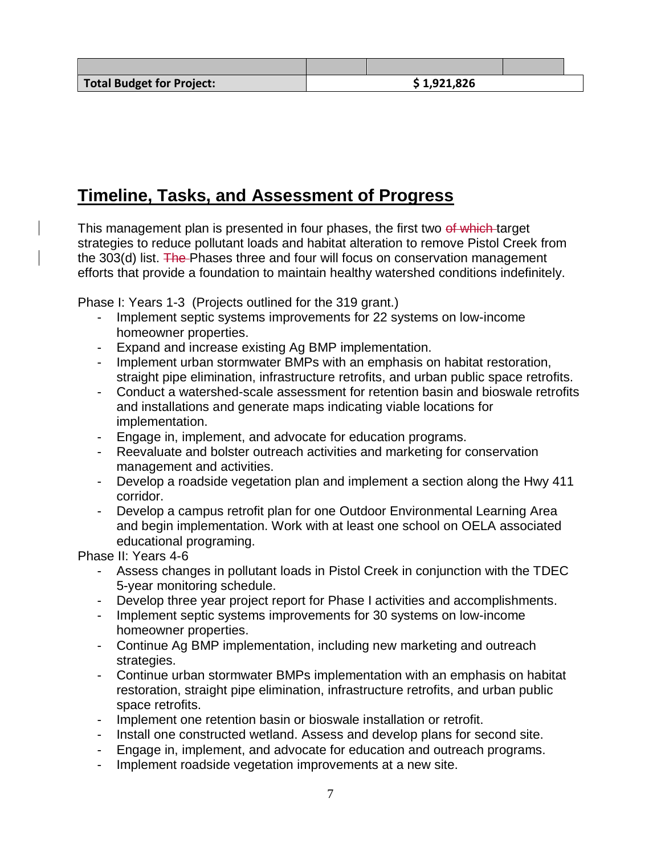## **Timeline, Tasks, and Assessment of Progress**

This management plan is presented in four phases, the first two of which target strategies to reduce pollutant loads and habitat alteration to remove Pistol Creek from the 303(d) list. The Phases three and four will focus on conservation management efforts that provide a foundation to maintain healthy watershed conditions indefinitely.

Phase I: Years 1-3 (Projects outlined for the 319 grant.)

- Implement septic systems improvements for 22 systems on low-income homeowner properties.
- Expand and increase existing Ag BMP implementation.
- Implement urban stormwater BMPs with an emphasis on habitat restoration, straight pipe elimination, infrastructure retrofits, and urban public space retrofits.
- Conduct a watershed-scale assessment for retention basin and bioswale retrofits and installations and generate maps indicating viable locations for implementation.
- Engage in, implement, and advocate for education programs.
- Reevaluate and bolster outreach activities and marketing for conservation management and activities.
- Develop a roadside vegetation plan and implement a section along the Hwy 411 corridor.
- Develop a campus retrofit plan for one Outdoor Environmental Learning Area and begin implementation. Work with at least one school on OELA associated educational programing.

Phase II: Years 4-6

- Assess changes in pollutant loads in Pistol Creek in conjunction with the TDEC 5-year monitoring schedule.
- Develop three year project report for Phase I activities and accomplishments.
- Implement septic systems improvements for 30 systems on low-income homeowner properties.
- Continue Ag BMP implementation, including new marketing and outreach strategies.
- Continue urban stormwater BMPs implementation with an emphasis on habitat restoration, straight pipe elimination, infrastructure retrofits, and urban public space retrofits.
- Implement one retention basin or bioswale installation or retrofit.
- Install one constructed wetland. Assess and develop plans for second site.
- Engage in, implement, and advocate for education and outreach programs.
- Implement roadside vegetation improvements at a new site.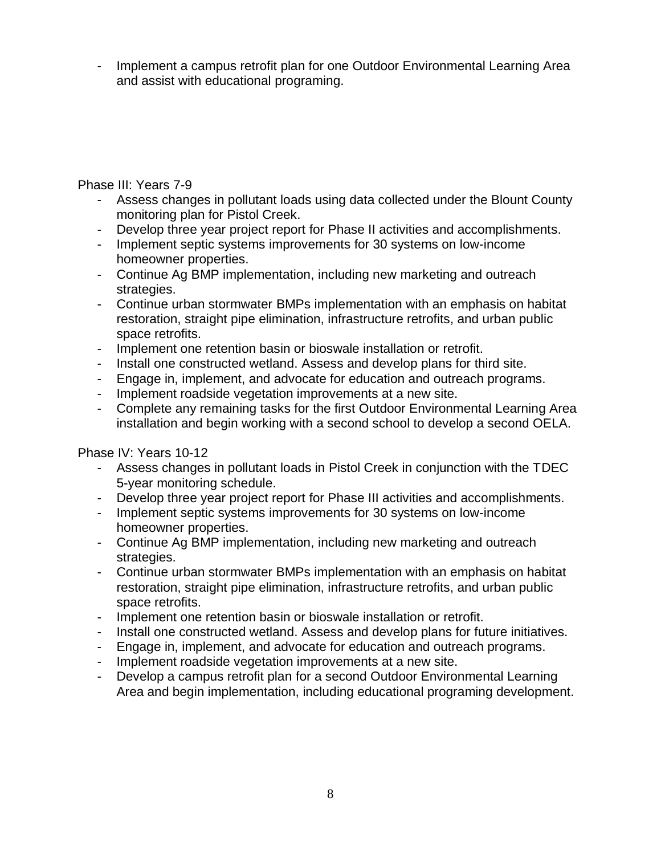Implement a campus retrofit plan for one Outdoor Environmental Learning Area and assist with educational programing.

## Phase III: Years 7-9

- Assess changes in pollutant loads using data collected under the Blount County monitoring plan for Pistol Creek.
- Develop three year project report for Phase II activities and accomplishments.
- Implement septic systems improvements for 30 systems on low-income homeowner properties.
- Continue Ag BMP implementation, including new marketing and outreach strategies.
- Continue urban stormwater BMPs implementation with an emphasis on habitat restoration, straight pipe elimination, infrastructure retrofits, and urban public space retrofits.
- Implement one retention basin or bioswale installation or retrofit.
- Install one constructed wetland. Assess and develop plans for third site.
- Engage in, implement, and advocate for education and outreach programs.
- Implement roadside vegetation improvements at a new site.
- Complete any remaining tasks for the first Outdoor Environmental Learning Area installation and begin working with a second school to develop a second OELA.

## Phase IV: Years 10-12

- Assess changes in pollutant loads in Pistol Creek in conjunction with the TDEC 5-year monitoring schedule.
- Develop three year project report for Phase III activities and accomplishments.
- Implement septic systems improvements for 30 systems on low-income homeowner properties.
- Continue Ag BMP implementation, including new marketing and outreach strategies.
- Continue urban stormwater BMPs implementation with an emphasis on habitat restoration, straight pipe elimination, infrastructure retrofits, and urban public space retrofits.
- Implement one retention basin or bioswale installation or retrofit.
- Install one constructed wetland. Assess and develop plans for future initiatives.
- Engage in, implement, and advocate for education and outreach programs.
- Implement roadside vegetation improvements at a new site.
- Develop a campus retrofit plan for a second Outdoor Environmental Learning Area and begin implementation, including educational programing development.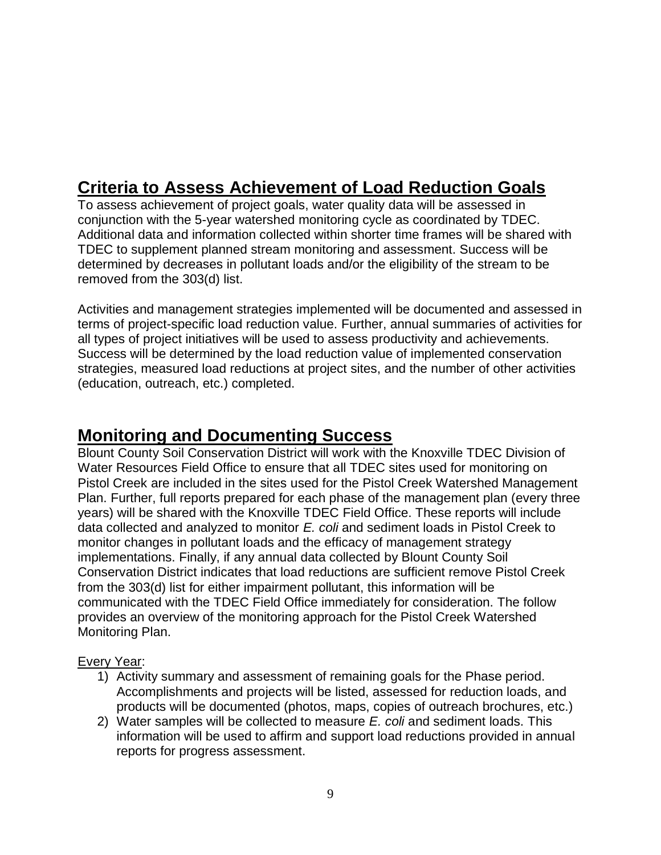# **Criteria to Assess Achievement of Load Reduction Goals**

To assess achievement of project goals, water quality data will be assessed in conjunction with the 5-year watershed monitoring cycle as coordinated by TDEC. Additional data and information collected within shorter time frames will be shared with TDEC to supplement planned stream monitoring and assessment. Success will be determined by decreases in pollutant loads and/or the eligibility of the stream to be removed from the 303(d) list.

Activities and management strategies implemented will be documented and assessed in terms of project-specific load reduction value. Further, annual summaries of activities for all types of project initiatives will be used to assess productivity and achievements. Success will be determined by the load reduction value of implemented conservation strategies, measured load reductions at project sites, and the number of other activities (education, outreach, etc.) completed.

## **Monitoring and Documenting Success**

Blount County Soil Conservation District will work with the Knoxville TDEC Division of Water Resources Field Office to ensure that all TDEC sites used for monitoring on Pistol Creek are included in the sites used for the Pistol Creek Watershed Management Plan. Further, full reports prepared for each phase of the management plan (every three years) will be shared with the Knoxville TDEC Field Office. These reports will include data collected and analyzed to monitor *E. coli* and sediment loads in Pistol Creek to monitor changes in pollutant loads and the efficacy of management strategy implementations. Finally, if any annual data collected by Blount County Soil Conservation District indicates that load reductions are sufficient remove Pistol Creek from the 303(d) list for either impairment pollutant, this information will be communicated with the TDEC Field Office immediately for consideration. The follow provides an overview of the monitoring approach for the Pistol Creek Watershed Monitoring Plan.

## Every Year:

- 1) Activity summary and assessment of remaining goals for the Phase period. Accomplishments and projects will be listed, assessed for reduction loads, and products will be documented (photos, maps, copies of outreach brochures, etc.)
- 2) Water samples will be collected to measure *E. coli* and sediment loads. This information will be used to affirm and support load reductions provided in annual reports for progress assessment.